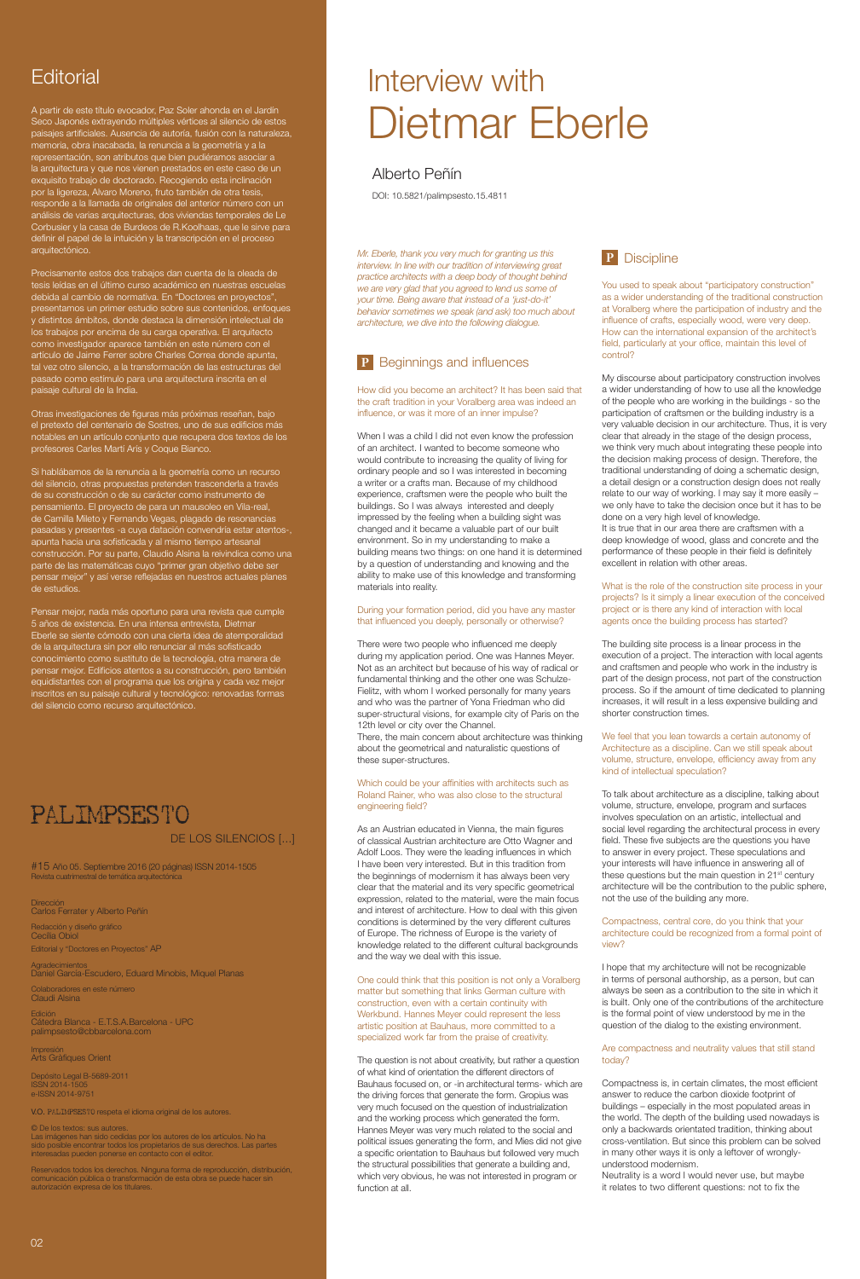Dirección Carlos Ferrater y Alberto Peñín Redacción y diseño gráfico Cecília Obiol Editorial y "Doctores en Proyectos" AP

Agradecimientos Daniel García-Escudero, Eduard Minobis, Miquel Planas

PALIMPS<br>PALIMPS<br>PALIMPS Depósito Legal B-5689-2011 ISSN 2014-1505 e-ISSN 2014-9751

Colaboradores en este número Claudi Alsina

Edición Cátedra Blanca - E.T.S.A.Barcelona - UPC palimpsesto@cbbarcelona.com

#### Impresión Arts Gràfiques Orient

V.O. PALIMPSESTO respeta el idioma original de los autores.

#15 Año 05. Septiembre 2016 (20 páginas) ISSN 2014-1505 Revista cuatrimestral de temática arquitectór

#### © De los textos: sus autores.

Las imágenes han sido cedidas por los autores de los artículos. No ha sido posible encontrar todos los propietarios de sus derechos. Las partes interesadas pueden ponerse en contacto con el editor.

Reservados todos los derechos. Ninguna forma de reproducción, distribución, comunicación pública o transformación de esta obra se puede hacer sin autorización expresa de los titulares.

### DE LOS SILENCIOS [...]

## **Editorial**

A partir de este título evocador, Paz Soler ahonda en el Jardín Seco Japonés extrayendo múltiples vértices al silencio de estos paisajes artificiales. Ausencia de autoría, fusión con la naturaleza, memoria, obra inacabada, la renuncia a la geometría y a la representación, son atributos que bien pudiéramos asociar a la arquitectura y que nos vienen prestados en este caso de un exquisito trabajo de doctorado. Recogiendo esta inclinación por la ligereza, Alvaro Moreno, fruto también de otra tesis, responde a la llamada de originales del anterior número con un análisis de varias arquitecturas, dos viviendas temporales de Le Corbusier y la casa de Burdeos de R.Koolhaas, que le sirve para definir el papel de la intuición y la transcripción en el proceso arquitectónico.

Precisamente estos dos trabajos dan cuenta de la oleada de tesis leídas en el último curso académico en nuestras escuelas debida al cambio de normativa. En "Doctores en proyectos", presentamos un primer estudio sobre sus contenidos, enfoques y distintos ámbitos, donde destaca la dimensión intelectual de los trabajos por encima de su carga operativa. El arquitecto como investigador aparece también en este número con el artículo de Jaime Ferrer sobre Charles Correa donde apunta, tal vez otro silencio, a la transformación de las estructuras del pasado como estímulo para una arquitectura inscrita en el paisaje cultural de la India.

Otras investigaciones de figuras más próximas reseñan, bajo el pretexto del centenario de Sostres, uno de sus edificios más notables en un artículo conjunto que recupera dos textos de los profesores Carles Martí Arís y Coque Bianco.

Si hablábamos de la renuncia a la geometría como un recurso del silencio, otras propuestas pretenden trascenderla a través de su construcción o de su carácter como instrumento de pensamiento. El proyecto de para un mausoleo en Vila-real, de Camilla Mileto y Fernando Vegas, plagado de resonancias pasadas y presentes -a cuya datación convendría estar atentos-, apunta hacia una sofisticada y al mismo tiempo artesanal construcción. Por su parte, Claudio Alsina la reivindica como una parte de las matemáticas cuyo "primer gran objetivo debe ser pensar mejor" y así verse reflejadas en nuestros actuales planes de estudios.

Pensar mejor, nada más oportuno para una revista que cumple 5 años de existencia. En una intensa entrevista, Dietmar Eberle se siente cómodo con una cierta idea de atemporalidad de la arquitectura sin por ello renunciar al más sofisticado conocimiento como sustituto de la tecnología, otra manera de pensar mejor. Edificios atentos a su construcción, pero también equidistantes con el programa que los origina y cada vez mejor inscritos en su paisaje cultural y tecnológico: renovadas formas del silencio como recurso arquitectónico.

## **PALIMPSESTO**

You used to speak about "participatory construction" as a wider understanding of the traditional construction at Voralberg where the participation of industry and the influence of crafts, especially wood, were very deep. How can the international expansion of the architect's field, particularly at your office, maintain this level of control?

*Mr. Eberle, thank you very much for granting us this interview. In line with our tradition of interviewing great practice architects with a deep body of thought behind we are very glad that you agreed to lend us some of your time. Being aware that instead of a 'just-do-it' behavior sometimes we speak (and ask) too much about architecture, we dive into the following dialogue.* 

## **P** Beginnings and influences

How did you become an architect? It has been said that the craft tradition in your Voralberg area was indeed an influence, or was it more of an inner impulse?

When I was a child I did not even know the profession of an architect. I wanted to become someone who would contribute to increasing the quality of living for ordinary people and so I was interested in becoming a writer or a crafts man. Because of my childhood experience, craftsmen were the people who built the buildings. So I was always interested and deeply impressed by the feeling when a building sight was changed and it became a valuable part of our built environment. So in my understanding to make a building means two things: on one hand it is determined by a question of understanding and knowing and the ability to make use of this knowledge and transforming materials into reality.

#### During your formation period, did you have any master that influenced you deeply, personally or otherwise?

There were two people who influenced me deeply during my application period. One was Hannes Meyer. Not as an architect but because of his way of radical or fundamental thinking and the other one was Schulze-Fielitz, with whom I worked personally for many years and who was the partner of Yona Friedman who did super-structural visions, for example city of Paris on the 12th level or city over the Channel. There, the main concern about architecture was thinking

about the geometrical and naturalistic questions of these super-structures.

#### Which could be your affinities with architects such as Roland Rainer, who was also close to the structural engineering field?

As an Austrian educated in Vienna, the main figures of classical Austrian architecture are Otto Wagner and Adolf Loos. They were the leading influences in which I have been very interested. But in this tradition from the beginnings of modernism it has always been very clear that the material and its very specific geometrical expression, related to the material, were the main focus and interest of architecture. How to deal with this given conditions is determined by the very different cultures of Europe. The richness of Europe is the variety of knowledge related to the different cultural backgrounds and the way we deal with this issue.

One could think that this position is not only a Voralberg matter but something that links German culture with

construction, even with a certain continuity with Werkbund. Hannes Meyer could represent the less artistic position at Bauhaus, more committed to a specialized work far from the praise of creativity.

The question is not about creativity, but rather a question of what kind of orientation the different directors of Bauhaus focused on, or -in architectural terms- which are the driving forces that generate the form. Gropius was very much focused on the question of industrialization and the working process which generated the form. Hannes Meyer was very much related to the social and political issues generating the form, and Mies did not give a specific orientation to Bauhaus but followed very much the structural possibilities that generate a building and, which very obvious, he was not interested in program or function at all.

## Alberto Peñín

DOI: 10.5821/palimpsesto.15.4811

# Interview with Dietmar Eberle



My discourse about participatory construction involves a wider understanding of how to use all the knowledge of the people who are working in the buildings - so the participation of craftsmen or the building industry is a very valuable decision in our architecture. Thus, it is very clear that already in the stage of the design process, we think very much about integrating these people into the decision making process of design. Therefore, the traditional understanding of doing a schematic design, a detail design or a construction design does not really relate to our way of working. I may say it more easily – we only have to take the decision once but it has to be done on a very high level of knowledge. It is true that in our area there are craftsmen with a deep knowledge of wood, glass and concrete and the performance of these people in their field is definitely excellent in relation with other areas.

What is the role of the construction site process in your projects? Is it simply a linear execution of the conceived project or is there any kind of interaction with local agents once the building process has started?

The building site process is a linear process in the execution of a project. The interaction with local agents and craftsmen and people who work in the industry is part of the design process, not part of the construction process. So if the amount of time dedicated to planning increases, it will result in a less expensive building and shorter construction times.

#### We feel that you lean towards a certain autonomy of Architecture as a discipline. Can we still speak about volume, structure, envelope, efficiency away from any kind of intellectual speculation?

To talk about architecture as a discipline, talking about volume, structure, envelope, program and surfaces involves speculation on an artistic, intellectual and social level regarding the architectural process in every field. These five subjects are the questions you have to answer in every project. These speculations and your interests will have influence in answering all of these questions but the main question in  $21<sup>st</sup>$  century architecture will be the contribution to the public sphere, not the use of the building any more.

#### Compactness, central core, do you think that your architecture could be recognized from a formal point of view?

I hope that my architecture will not be recognizable in terms of personal authorship, as a person, but can always be seen as a contribution to the site in which it is built. Only one of the contributions of the architecture is the formal point of view understood by me in the question of the dialog to the existing environment.

#### Are compactness and neutrality values that still stand today?

Compactness is, in certain climates, the most efficient answer to reduce the carbon dioxide footprint of buildings – especially in the most populated areas in the world. The depth of the building used nowadays is only a backwards orientated tradition, thinking about cross-ventilation. But since this problem can be solved in many other ways it is only a leftover of wronglyunderstood modernism.

Neutrality is a word I would never use, but maybe it relates to two different questions: not to fix the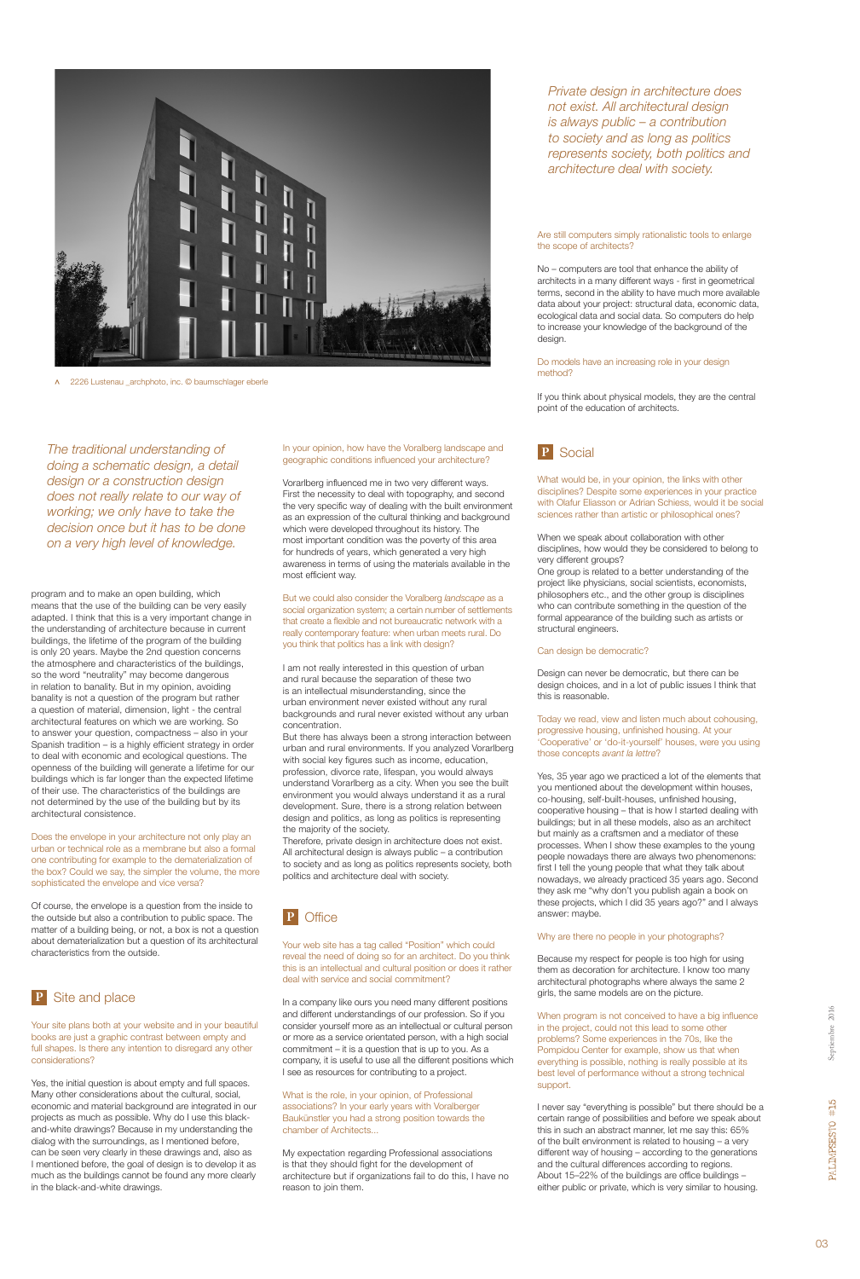

> 2226 Lustenau \_archphoto, inc. © baumschlager eberle

program and to make an open building, which means that the use of the building can be very easily adapted. I think that this is a very important change in the understanding of architecture because in current buildings, the lifetime of the program of the building is only 20 years. Maybe the 2nd question concerns the atmosphere and characteristics of the buildings, so the word "neutrality" may become dangerous in relation to banality. But in my opinion, avoiding banality is not a question of the program but rather a question of material, dimension, light - the central architectural features on which we are working. So to answer your question, compactness – also in your Spanish tradition – is a highly efficient strategy in order to deal with economic and ecological questions. The openness of the building will generate a lifetime for our buildings which is far longer than the expected lifetime of their use. The characteristics of the buildings are not determined by the use of the building but by its architectural consistence.

Does the envelope in your architecture not only play an urban or technical role as a membrane but also a formal one contributing for example to the dematerialization of the box? Could we say, the simpler the volume, the more sophisticated the envelope and vice versa?

Of course, the envelope is a question from the inside to the outside but also a contribution to public space. The matter of a building being, or not, a box is not a question about dematerialization but a question of its architectural characteristics from the outside.

Your site plans both at your website and in your beautiful books are just a graphic contrast between empty and full shapes. Is there any intention to disregard any other considerations?

Yes, the initial question is about empty and full spaces. Many other considerations about the cultural, social, economic and material background are integrated in our projects as much as possible. Why do I use this blackand-white drawings? Because in my understanding the dialog with the surroundings, as I mentioned before, can be seen very clearly in these drawings and, also as I mentioned before, the goal of design is to develop it as much as the buildings cannot be found any more clearly in the black-and-white drawings.

#### In your opinion, how have the Voralberg landscape and geographic conditions influenced your architecture?

Vorarlberg influenced me in two very different ways. First the necessity to deal with topography, and second the very specific way of dealing with the built environment as an expression of the cultural thinking and background which were developed throughout its history. The most important condition was the poverty of this area for hundreds of years, which generated a very high awareness in terms of using the materials available in the most efficient way.

But we could also consider the Voralberg *landscape* as a social organization system; a certain number of settlements that create a flexible and not bureaucratic network with a really contemporary feature: when urban meets rural. Do you think that politics has a link with design?

I am not really interested in this question of urban and rural because the separation of these two is an intellectual misunderstanding, since the urban environment never existed without any rural backgrounds and rural never existed without any urban concentration.

But there has always been a strong interaction between urban and rural environments. If you analyzed Vorarlberg with social key figures such as income, education, profession, divorce rate, lifespan, you would always understand Vorarlberg as a city. When you see the built environment you would always understand it as a rural development. Sure, there is a strong relation between design and politics, as long as politics is representing the majority of the society.

Therefore, private design in architecture does not exist. All architectural design is always public – a contribution to society and as long as politics represents society, both politics and architecture deal with society.



Your web site has a tag called "Position" which could reveal the need of doing so for an architect. Do you think this is an intellectual and cultural position or does it rather deal with service and social commitment?

In a company like ours you need many different positions and different understandings of our profession. So if you consider yourself more as an intellectual or cultural person or more as a service orientated person, with a high social commitment – it is a question that is up to you. As a company, it is useful to use all the different positions which I see as resources for contributing to a project.

What is the role, in your opinion, of Professional associations? In your early years with Voralberger Baukünstler you had a strong position towards the chamber of Architects...

My expectation regarding Professional associations is that they should fight for the development of architecture but if organizations fail to do this, I have no reason to join them.

### **P** Social

What would be, in your opinion, the links with other disciplines? Despite some experiences in your practice with Olafur Eliasson or Adrian Schiess, would it be social sciences rather than artistic or philosophical ones?

When we speak about collaboration with other disciplines, how would they be considered to belong to very different groups?

One group is related to a better understanding of the project like physicians, social scientists, economists, philosophers etc., and the other group is disciplines who can contribute something in the question of the formal appearance of the building such as artists or structural engineers.

#### Can design be democratic?

Design can never be democratic, but there can be design choices, and in a lot of public issues I think that this is reasonable.

Today we read, view and listen much about cohousing, progressive housing, unfinished housing. At your 'Cooperative' or 'do-it-yourself' houses, were you using those concepts *avant la lettre*?

Yes, 35 year ago we practiced a lot of the elements that you mentioned about the development within houses, co-housing, self-built-houses, unfinished housing, cooperative housing – that is how I started dealing with buildings; but in all these models, also as an architect but mainly as a craftsmen and a mediator of these processes. When I show these examples to the young people nowadays there are always two phenomenons: first I tell the young people that what they talk about nowadays, we already practiced 35 years ago. Second they ask me "why don't you publish again a book on these projects, which I did 35 years ago?" and I always answer: maybe.

#### Why are there no people in your photographs?

Because my respect for people is too high for using them as decoration for architecture. I know too many architectural photographs where always the same 2 girls, the same models are on the picture.

When program is not conceived to have a big influence in the project, could not this lead to some other problems? Some experiences in the 70s, like the Pompidou Center for example, show us that when everything is possible, nothing is really possible at its best level of performance without a strong technical support.

I never say "everything is possible" but there should be a certain range of possibilities and before we speak about this in such an abstract manner, let me say this: 65% of the built environment is related to housing – a very different way of housing – according to the generations and the cultural differences according to regions. About 15–22% of the buildings are office buildings – either public or private, which is very similar to housing.

*The traditional understanding of doing a schematic design, a detail design or a construction design does not really relate to our way of working; we only have to take the decision once but it has to be done on a very high level of knowledge.*

#### Are still computers simply rationalistic tools to enlarge the scope of architects?

No – computers are tool that enhance the ability of architects in a many different ways - first in geometrical terms, second in the ability to have much more available data about your project: structural data, economic data, ecological data and social data. So computers do help to increase your knowledge of the background of the design.

#### Do models have an increasing role in your design method?

If you think about physical models, they are the central point of the education of architects.

*Private design in architecture does not exist. All architectural design is always public – a contribution to society and as long as politics represents society, both politics and architecture deal with society.*